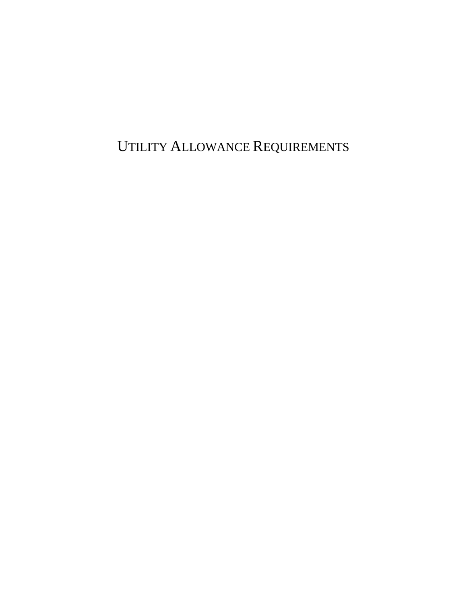UTILITY ALLOWANCE REQUIREMENTS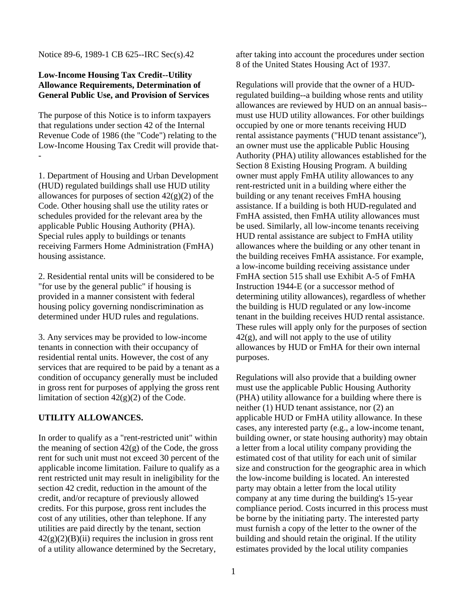Notice 89-6, 1989-1 CB 625--IRC Sec(s).42

## **Low-Income Housing Tax Credit--Utility Allowance Requirements, Determination of General Public Use, and Provision of Services**

The purpose of this Notice is to inform taxpayers that regulations under section 42 of the Internal Revenue Code of 1986 (the "Code") relating to the Low-Income Housing Tax Credit will provide that- -

1. Department of Housing and Urban Development (HUD) regulated buildings shall use HUD utility allowances for purposes of section  $42(g)(2)$  of the Code. Other housing shall use the utility rates or schedules provided for the relevant area by the applicable Public Housing Authority (PHA). Special rules apply to buildings or tenants receiving Farmers Home Administration (FmHA) housing assistance.

2. Residential rental units will be considered to be "for use by the general public" if housing is provided in a manner consistent with federal housing policy governing nondiscrimination as determined under HUD rules and regulations.

3. Any services may be provided to low-income tenants in connection with their occupancy of residential rental units. However, the cost of any services that are required to be paid by a tenant as a condition of occupancy generally must be included in gross rent for purposes of applying the gross rent limitation of section  $42(g)(2)$  of the Code.

## **UTILITY ALLOWANCES.**

In order to qualify as a "rent-restricted unit" within the meaning of section  $42(g)$  of the Code, the gross rent for such unit must not exceed 30 percent of the applicable income limitation. Failure to qualify as a rent restricted unit may result in ineligibility for the section 42 credit, reduction in the amount of the credit, and/or recapture of previously allowed credits. For this purpose, gross rent includes the cost of any utilities, other than telephone. If any utilities are paid directly by the tenant, section  $42(g)(2)(B)(ii)$  requires the inclusion in gross rent of a utility allowance determined by the Secretary,

after taking into account the procedures under section 8 of the United States Housing Act of 1937.

Regulations will provide that the owner of a HUDregulated building--a building whose rents and utility allowances are reviewed by HUD on an annual basis- must use HUD utility allowances. For other buildings occupied by one or more tenants receiving HUD rental assistance payments ("HUD tenant assistance"), an owner must use the applicable Public Housing Authority (PHA) utility allowances established for the Section 8 Existing Housing Program. A building owner must apply FmHA utility allowances to any rent-restricted unit in a building where either the building or any tenant receives FmHA housing assistance. If a building is both HUD-regulated and FmHA assisted, then FmHA utility allowances must be used. Similarly, all low-income tenants receiving HUD rental assistance are subject to FmHA utility allowances where the building or any other tenant in the building receives FmHA assistance. For example, a low-income building receiving assistance under FmHA section 515 shall use Exhibit A-5 of FmHA Instruction 1944-E (or a successor method of determining utility allowances), regardless of whether the building is HUD regulated or any low-income tenant in the building receives HUD rental assistance. These rules will apply only for the purposes of section  $42(g)$ , and will not apply to the use of utility allowances by HUD or FmHA for their own internal purposes.

Regulations will also provide that a building owner must use the applicable Public Housing Authority (PHA) utility allowance for a building where there is neither (1) HUD tenant assistance, nor (2) an applicable HUD or FmHA utility allowance. In these cases, any interested party (e.g., a low-income tenant, building owner, or state housing authority) may obtain a letter from a local utility company providing the estimated cost of that utility for each unit of similar size and construction for the geographic area in which the low-income building is located. An interested party may obtain a letter from the local utility company at any time during the building's 15-year compliance period. Costs incurred in this process must be borne by the initiating party. The interested party must furnish a copy of the letter to the owner of the building and should retain the original. If the utility estimates provided by the local utility companies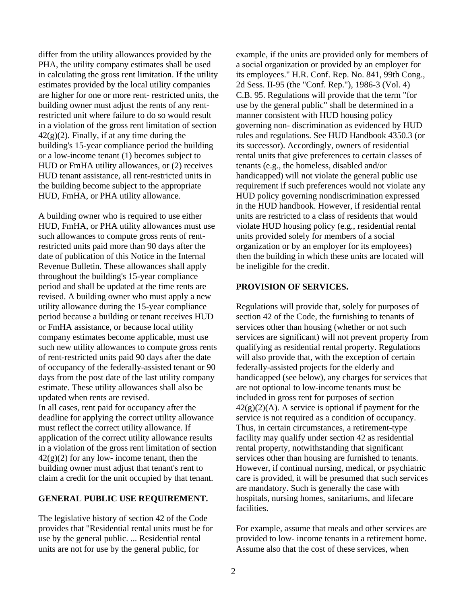differ from the utility allowances provided by the PHA, the utility company estimates shall be used in calculating the gross rent limitation. If the utility estimates provided by the local utility companies are higher for one or more rent- restricted units, the building owner must adjust the rents of any rentrestricted unit where failure to do so would result in a violation of the gross rent limitation of section  $42(g)(2)$ . Finally, if at any time during the building's 15-year compliance period the building or a low-income tenant (1) becomes subject to HUD or FmHA utility allowances, or (2) receives HUD tenant assistance, all rent-restricted units in the building become subject to the appropriate HUD, FmHA, or PHA utility allowance.

A building owner who is required to use either HUD, FmHA, or PHA utility allowances must use such allowances to compute gross rents of rentrestricted units paid more than 90 days after the date of publication of this Notice in the Internal Revenue Bulletin. These allowances shall apply throughout the building's 15-year compliance period and shall be updated at the time rents are revised. A building owner who must apply a new utility allowance during the 15-year compliance period because a building or tenant receives HUD or FmHA assistance, or because local utility company estimates become applicable, must use such new utility allowances to compute gross rents of rent-restricted units paid 90 days after the date of occupancy of the federally-assisted tenant or 90 days from the post date of the last utility company estimate. These utility allowances shall also be updated when rents are revised. In all cases, rent paid for occupancy after the deadline for applying the correct utility allowance must reflect the correct utility allowance. If application of the correct utility allowance results in a violation of the gross rent limitation of section  $42(g)(2)$  for any low- income tenant, then the building owner must adjust that tenant's rent to claim a credit for the unit occupied by that tenant.

## **GENERAL PUBLIC USE REQUIREMENT.**

The legislative history of section 42 of the Code provides that "Residential rental units must be for use by the general public. ... Residential rental units are not for use by the general public, for

example, if the units are provided only for members of a social organization or provided by an employer for its employees." H.R. Conf. Rep. No. 841, 99th Cong., 2d Sess. II-95 (the "Conf. Rep."), 1986-3 (Vol. 4) C.B. 95. Regulations will provide that the term "for use by the general public" shall be determined in a manner consistent with HUD housing policy governing non- discrimination as evidenced by HUD rules and regulations. See HUD Handbook 4350.3 (or its successor). Accordingly, owners of residential rental units that give preferences to certain classes of tenants (e.g., the homeless, disabled and/or handicapped) will not violate the general public use requirement if such preferences would not violate any HUD policy governing nondiscrimination expressed in the HUD handbook. However, if residential rental units are restricted to a class of residents that would violate HUD housing policy (e.g., residential rental units provided solely for members of a social organization or by an employer for its employees) then the building in which these units are located will be ineligible for the credit.

## **PROVISION OF SERVICES.**

Regulations will provide that, solely for purposes of section 42 of the Code, the furnishing to tenants of services other than housing (whether or not such services are significant) will not prevent property from qualifying as residential rental property. Regulations will also provide that, with the exception of certain federally-assisted projects for the elderly and handicapped (see below), any charges for services that are not optional to low-income tenants must be included in gross rent for purposes of section  $42(g)(2)(A)$ . A service is optional if payment for the service is not required as a condition of occupancy. Thus, in certain circumstances, a retirement-type facility may qualify under section 42 as residential rental property, notwithstanding that significant services other than housing are furnished to tenants. However, if continual nursing, medical, or psychiatric care is provided, it will be presumed that such services are mandatory. Such is generally the case with hospitals, nursing homes, sanitariums, and lifecare facilities.

For example, assume that meals and other services are provided to low- income tenants in a retirement home. Assume also that the cost of these services, when